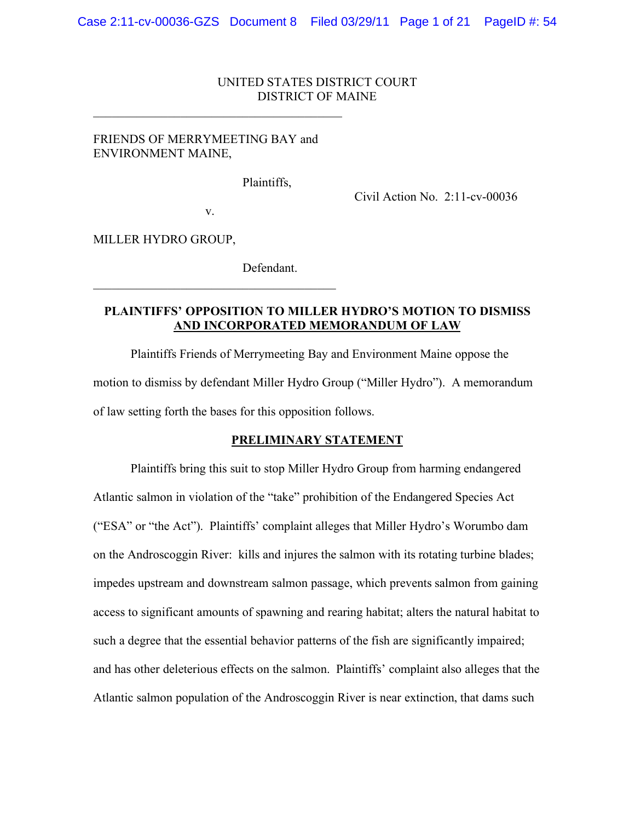#### UNITED STATES DISTRICT COURT DISTRICT OF MAINE

#### FRIENDS OF MERRYMEETING BAY and ENVIRONMENT MAINE,

 $\mathcal{L}_\text{max}$  , and the contract of the contract of the contract of the contract of the contract of the contract of the contract of the contract of the contract of the contract of the contract of the contract of the contr

Plaintiffs,

Civil Action No. 2:11-cv-00036

v.

 $\mathcal{L}_\text{max}$ 

MILLER HYDRO GROUP,

Defendant.

### **PLAINTIFFS' OPPOSITION TO MILLER HYDRO'S MOTION TO DISMISS AND INCORPORATED MEMORANDUM OF LAW**

Plaintiffs Friends of Merrymeeting Bay and Environment Maine oppose the motion to dismiss by defendant Miller Hydro Group ("Miller Hydro"). A memorandum of law setting forth the bases for this opposition follows.

#### **PRELIMINARY STATEMENT**

Plaintiffs bring this suit to stop Miller Hydro Group from harming endangered Atlantic salmon in violation of the "take" prohibition of the Endangered Species Act ("ESA" or "the Act"). Plaintiffs' complaint alleges that Miller Hydro's Worumbo dam on the Androscoggin River: kills and injures the salmon with its rotating turbine blades; impedes upstream and downstream salmon passage, which prevents salmon from gaining access to significant amounts of spawning and rearing habitat; alters the natural habitat to such a degree that the essential behavior patterns of the fish are significantly impaired; and has other deleterious effects on the salmon. Plaintiffs' complaint also alleges that the Atlantic salmon population of the Androscoggin River is near extinction, that dams such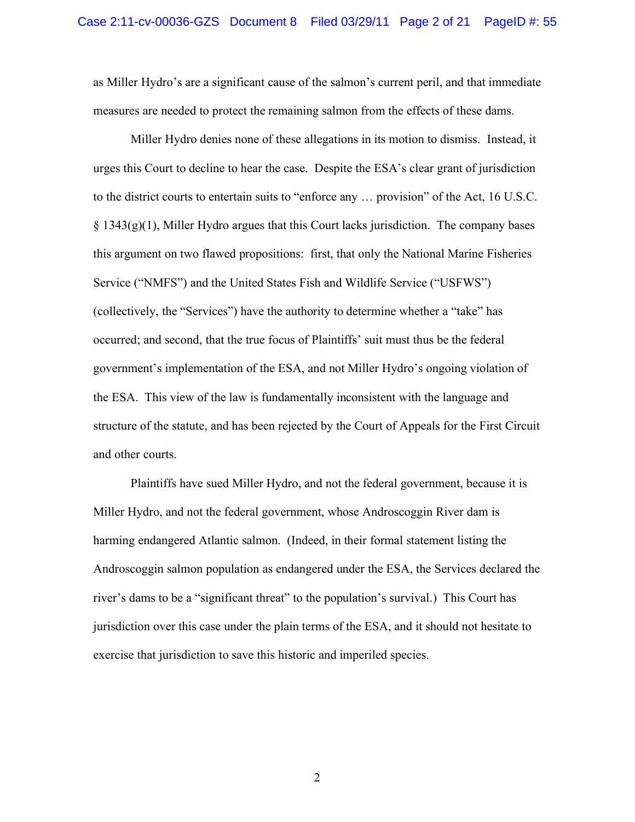as Miller Hydro's are a significant cause of the salmon's current peril, and that immediate measures are needed to protect the remaining salmon from the effects of these dams.

Miller Hydro denies none of these allegations in its motion to dismiss. Instead, it urges this Court to decline to hear the case. Despite the ESA's clear grant of jurisdiction to the district courts to entertain suits to "enforce any … provision" of the Act, 16 U.S.C.  $\S 1343(g)(1)$ , Miller Hydro argues that this Court lacks jurisdiction. The company bases this argument on two flawed propositions: first, that only the National Marine Fisheries Service ("NMFS") and the United States Fish and Wildlife Service ("USFWS") (collectively, the "Services") have the authority to determine whether a "take" has occurred; and second, that the true focus of Plaintiffs' suit must thus be the federal government's implementation of the ESA, and not Miller Hydro's ongoing violation of the ESA. This view of the law is fundamentally inconsistent with the language and structure of the statute, and has been rejected by the Court of Appeals for the First Circuit and other courts.

Plaintiffs have sued Miller Hydro, and not the federal government, because it is Miller Hydro, and not the federal government, whose Androscoggin River dam is harming endangered Atlantic salmon. (Indeed, in their formal statement listing the Androscoggin salmon population as endangered under the ESA, the Services declared the river's dams to be a "significant threat" to the population's survival.) This Court has jurisdiction over this case under the plain terms of the ESA, and it should not hesitate to exercise that jurisdiction to save this historic and imperiled species.

2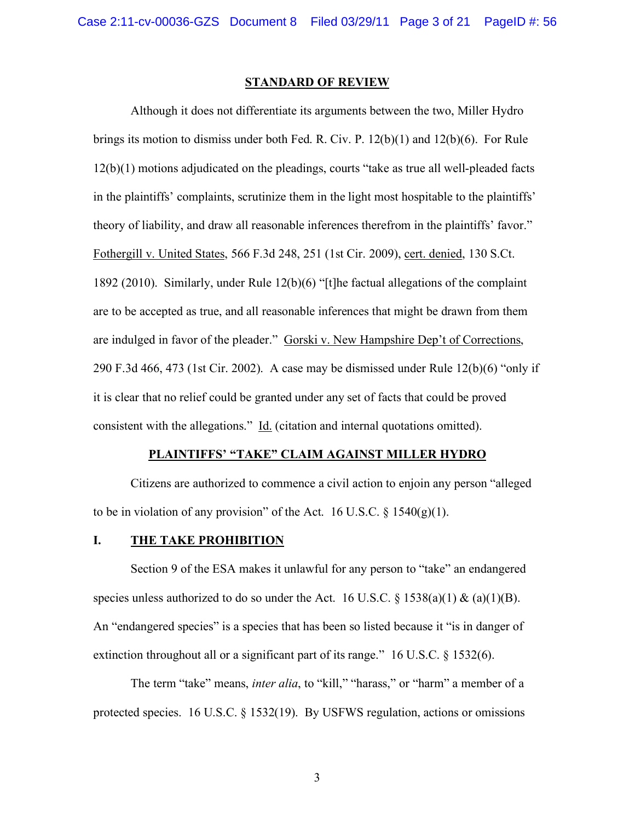#### **STANDARD OF REVIEW**

Although it does not differentiate its arguments between the two, Miller Hydro brings its motion to dismiss under both Fed. R. Civ. P. 12(b)(1) and 12(b)(6). For Rule 12(b)(1) motions adjudicated on the pleadings, courts "take as true all well-pleaded facts in the plaintiffs' complaints, scrutinize them in the light most hospitable to the plaintiffs' theory of liability, and draw all reasonable inferences therefrom in the plaintiffs' favor." Fothergill v. United States, 566 F.3d 248, 251 (1st Cir. 2009), cert. denied, 130 S.Ct. 1892 (2010). Similarly, under Rule 12(b)(6) "[t]he factual allegations of the complaint are to be accepted as true, and all reasonable inferences that might be drawn from them are indulged in favor of the pleader." Gorski v. New Hampshire Dep't of Corrections, 290 F.3d 466, 473 (1st Cir. 2002). A case may be dismissed under Rule 12(b)(6) "only if it is clear that no relief could be granted under any set of facts that could be proved consistent with the allegations." Id. (citation and internal quotations omitted).

#### **PLAINTIFFS' "TAKE" CLAIM AGAINST MILLER HYDRO**

Citizens are authorized to commence a civil action to enjoin any person "alleged to be in violation of any provision" of the Act. 16 U.S.C.  $\S$  1540(g)(1).

#### **I. THE TAKE PROHIBITION**

Section 9 of the ESA makes it unlawful for any person to "take" an endangered species unless authorized to do so under the Act. 16 U.S.C. § 1538(a)(1) & (a)(1)(B). An "endangered species" is a species that has been so listed because it "is in danger of extinction throughout all or a significant part of its range." 16 U.S.C. § 1532(6).

The term "take" means, *inter alia*, to "kill," "harass," or "harm" a member of a protected species. 16 U.S.C. § 1532(19). By USFWS regulation, actions or omissions

3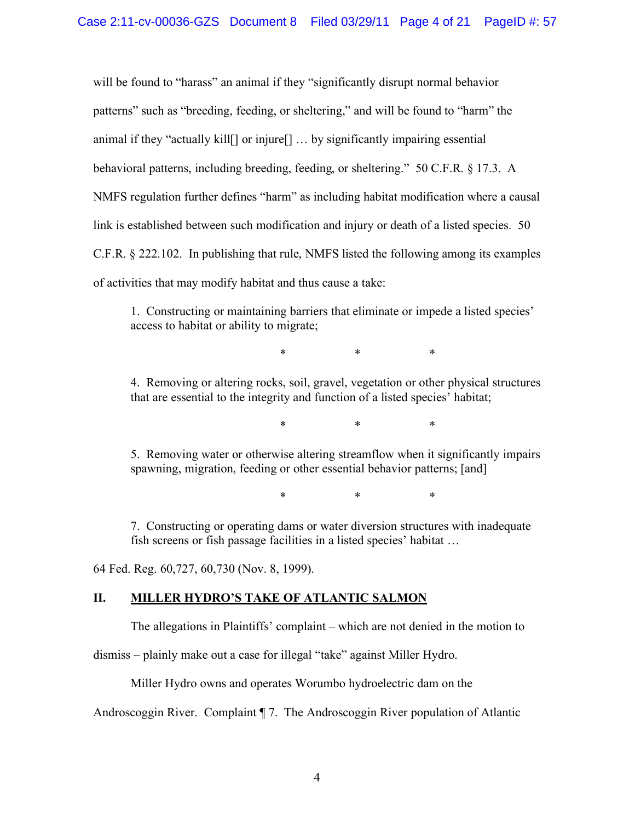will be found to "harass" an animal if they "significantly disrupt normal behavior patterns" such as "breeding, feeding, or sheltering," and will be found to "harm" the animal if they "actually kill[] or injure[] … by significantly impairing essential behavioral patterns, including breeding, feeding, or sheltering." 50 C.F.R. § 17.3. A NMFS regulation further defines "harm" as including habitat modification where a causal link is established between such modification and injury or death of a listed species. 50 C.F.R. § 222.102. In publishing that rule, NMFS listed the following among its examples of activities that may modify habitat and thus cause a take:

1. Constructing or maintaining barriers that eliminate or impede a listed species' access to habitat or ability to migrate;

\* \* \*

4. Removing or altering rocks, soil, gravel, vegetation or other physical structures that are essential to the integrity and function of a listed species' habitat;

\* \* \*

5. Removing water or otherwise altering streamflow when it significantly impairs spawning, migration, feeding or other essential behavior patterns; [and]

\* \* \*

7. Constructing or operating dams or water diversion structures with inadequate fish screens or fish passage facilities in a listed species' habitat …

64 Fed. Reg. 60,727, 60,730 (Nov. 8, 1999).

### **II. MILLER HYDRO'S TAKE OF ATLANTIC SALMON**

The allegations in Plaintiffs' complaint – which are not denied in the motion to

dismiss – plainly make out a case for illegal "take" against Miller Hydro.

Miller Hydro owns and operates Worumbo hydroelectric dam on the

Androscoggin River. Complaint ¶ 7. The Androscoggin River population of Atlantic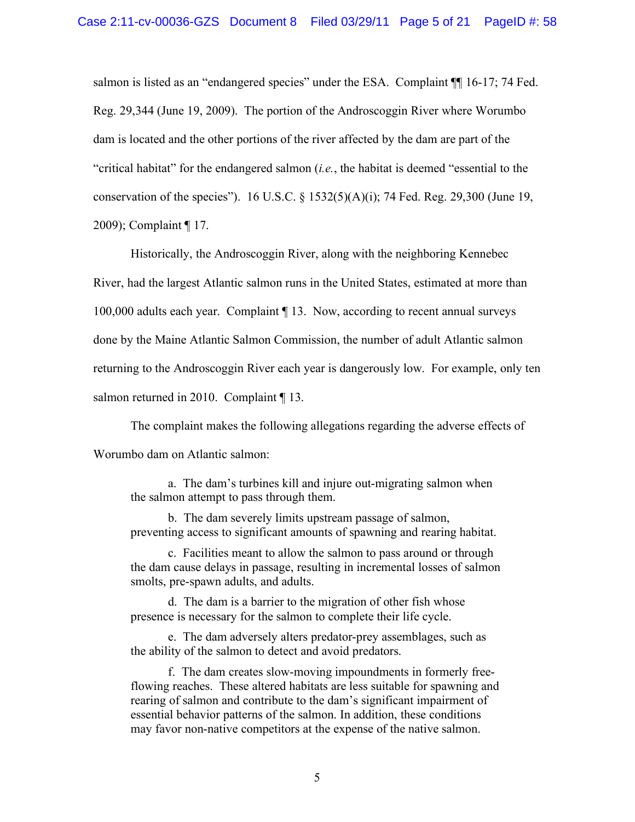salmon is listed as an "endangered species" under the ESA. Complaint  $\P$  16-17; 74 Fed. Reg. 29,344 (June 19, 2009). The portion of the Androscoggin River where Worumbo dam is located and the other portions of the river affected by the dam are part of the "critical habitat" for the endangered salmon (*i.e.*, the habitat is deemed "essential to the conservation of the species"). 16 U.S.C. § 1532(5)(A)(i); 74 Fed. Reg. 29,300 (June 19, 2009); Complaint ¶ 17.

Historically, the Androscoggin River, along with the neighboring Kennebec River, had the largest Atlantic salmon runs in the United States, estimated at more than 100,000 adults each year. Complaint ¶ 13. Now, according to recent annual surveys done by the Maine Atlantic Salmon Commission, the number of adult Atlantic salmon returning to the Androscoggin River each year is dangerously low. For example, only ten salmon returned in 2010. Complaint [13.

The complaint makes the following allegations regarding the adverse effects of Worumbo dam on Atlantic salmon:

a. The dam's turbines kill and injure out-migrating salmon when the salmon attempt to pass through them.

b. The dam severely limits upstream passage of salmon, preventing access to significant amounts of spawning and rearing habitat.

c. Facilities meant to allow the salmon to pass around or through the dam cause delays in passage, resulting in incremental losses of salmon smolts, pre-spawn adults, and adults.

d. The dam is a barrier to the migration of other fish whose presence is necessary for the salmon to complete their life cycle.

e. The dam adversely alters predator-prey assemblages, such as the ability of the salmon to detect and avoid predators.

f. The dam creates slow-moving impoundments in formerly freeflowing reaches. These altered habitats are less suitable for spawning and rearing of salmon and contribute to the dam's significant impairment of essential behavior patterns of the salmon. In addition, these conditions may favor non-native competitors at the expense of the native salmon.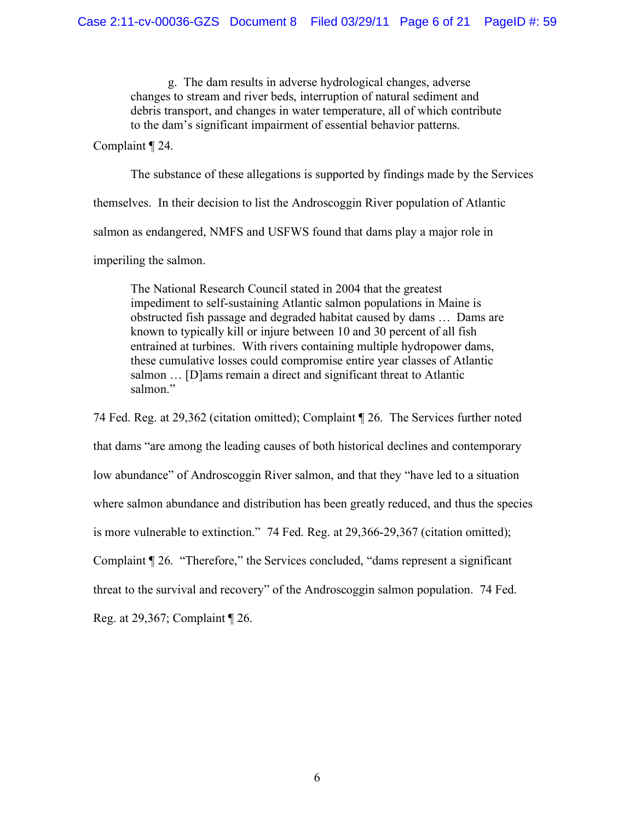g. The dam results in adverse hydrological changes, adverse changes to stream and river beds, interruption of natural sediment and debris transport, and changes in water temperature, all of which contribute to the dam's significant impairment of essential behavior patterns.

Complaint ¶ 24.

The substance of these allegations is supported by findings made by the Services themselves. In their decision to list the Androscoggin River population of Atlantic salmon as endangered, NMFS and USFWS found that dams play a major role in imperiling the salmon.

The National Research Council stated in 2004 that the greatest impediment to self-sustaining Atlantic salmon populations in Maine is obstructed fish passage and degraded habitat caused by dams … Dams are known to typically kill or injure between 10 and 30 percent of all fish entrained at turbines. With rivers containing multiple hydropower dams, these cumulative losses could compromise entire year classes of Atlantic salmon … [D]ams remain a direct and significant threat to Atlantic salmon."

74 Fed. Reg. at 29,362 (citation omitted); Complaint ¶ 26. The Services further noted that dams "are among the leading causes of both historical declines and contemporary low abundance" of Androscoggin River salmon, and that they "have led to a situation where salmon abundance and distribution has been greatly reduced, and thus the species is more vulnerable to extinction." 74 Fed. Reg. at 29,366-29,367 (citation omitted); Complaint ¶ 26. "Therefore," the Services concluded, "dams represent a significant threat to the survival and recovery" of the Androscoggin salmon population. 74 Fed. Reg. at 29,367; Complaint ¶ 26.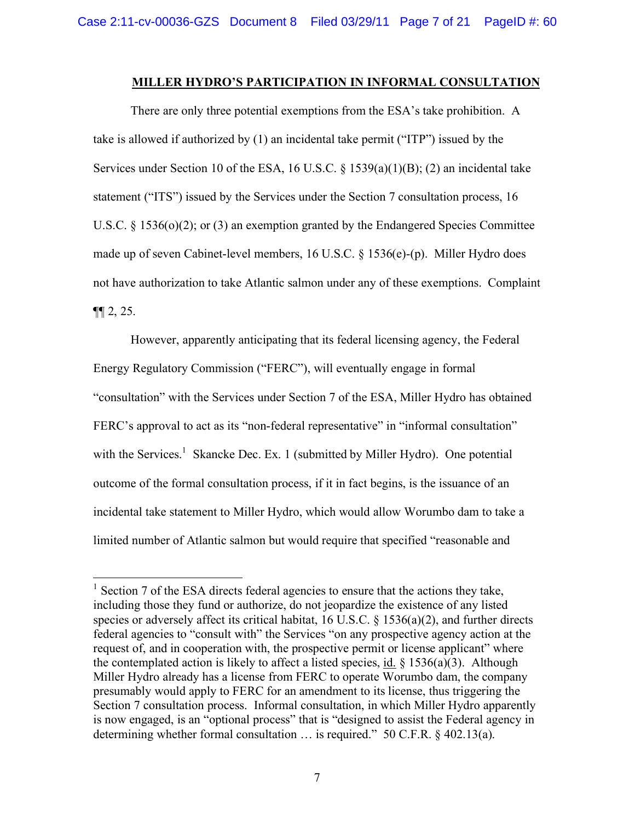#### **MILLER HYDRO'S PARTICIPATION IN INFORMAL CONSULTATION**

There are only three potential exemptions from the ESA's take prohibition. A take is allowed if authorized by (1) an incidental take permit ("ITP") issued by the Services under Section 10 of the ESA, 16 U.S.C. § 1539(a)(1)(B); (2) an incidental take statement ("ITS") issued by the Services under the Section 7 consultation process, 16 U.S.C. § 1536(o)(2); or (3) an exemption granted by the Endangered Species Committee made up of seven Cabinet-level members, 16 U.S.C. § 1536(e)-(p). Miller Hydro does not have authorization to take Atlantic salmon under any of these exemptions. Complaint  $\P\P 2, 25.$ 

However, apparently anticipating that its federal licensing agency, the Federal Energy Regulatory Commission ("FERC"), will eventually engage in formal "consultation" with the Services under Section 7 of the ESA, Miller Hydro has obtained FERC's approval to act as its "non-federal representative" in "informal consultation" with the Services.<sup>1</sup> Skancke Dec. Ex. 1 (submitted by Miller Hydro). One potential outcome of the formal consultation process, if it in fact begins, is the issuance of an incidental take statement to Miller Hydro, which would allow Worumbo dam to take a limited number of Atlantic salmon but would require that specified "reasonable and

<sup>&</sup>lt;sup>1</sup> Section 7 of the ESA directs federal agencies to ensure that the actions they take, including those they fund or authorize, do not jeopardize the existence of any listed species or adversely affect its critical habitat, 16 U.S.C. § 1536(a)(2), and further directs federal agencies to "consult with" the Services "on any prospective agency action at the request of, and in cooperation with, the prospective permit or license applicant" where the contemplated action is likely to affect a listed species,  $\underline{\text{id}}$ . § 1536(a)(3). Although Miller Hydro already has a license from FERC to operate Worumbo dam, the company presumably would apply to FERC for an amendment to its license, thus triggering the Section 7 consultation process. Informal consultation, in which Miller Hydro apparently is now engaged, is an "optional process" that is "designed to assist the Federal agency in determining whether formal consultation … is required." 50 C.F.R. § 402.13(a).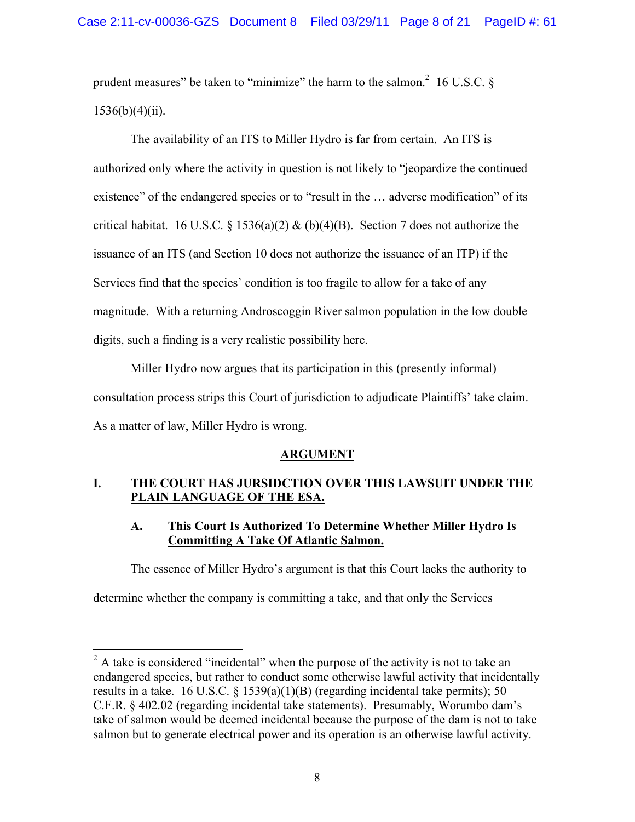prudent measures" be taken to "minimize" the harm to the salmon.<sup>2</sup> 16 U.S.C.  $\S$  $1536(b)(4)(ii)$ .

The availability of an ITS to Miller Hydro is far from certain. An ITS is authorized only where the activity in question is not likely to "jeopardize the continued existence" of the endangered species or to "result in the … adverse modification" of its critical habitat. 16 U.S.C. § 1536(a)(2) & (b)(4)(B). Section 7 does not authorize the issuance of an ITS (and Section 10 does not authorize the issuance of an ITP) if the Services find that the species' condition is too fragile to allow for a take of any magnitude. With a returning Androscoggin River salmon population in the low double digits, such a finding is a very realistic possibility here.

Miller Hydro now argues that its participation in this (presently informal) consultation process strips this Court of jurisdiction to adjudicate Plaintiffs' take claim. As a matter of law, Miller Hydro is wrong.

## **ARGUMENT**

## **I. THE COURT HAS JURSIDCTION OVER THIS LAWSUIT UNDER THE PLAIN LANGUAGE OF THE ESA.**

## **A. This Court Is Authorized To Determine Whether Miller Hydro Is Committing A Take Of Atlantic Salmon.**

The essence of Miller Hydro's argument is that this Court lacks the authority to

determine whether the company is committing a take, and that only the Services

 $2^2$  A take is considered "incidental" when the purpose of the activity is not to take an endangered species, but rather to conduct some otherwise lawful activity that incidentally results in a take. 16 U.S.C.  $\S$  1539(a)(1)(B) (regarding incidental take permits); 50 C.F.R. § 402.02 (regarding incidental take statements). Presumably, Worumbo dam's take of salmon would be deemed incidental because the purpose of the dam is not to take salmon but to generate electrical power and its operation is an otherwise lawful activity.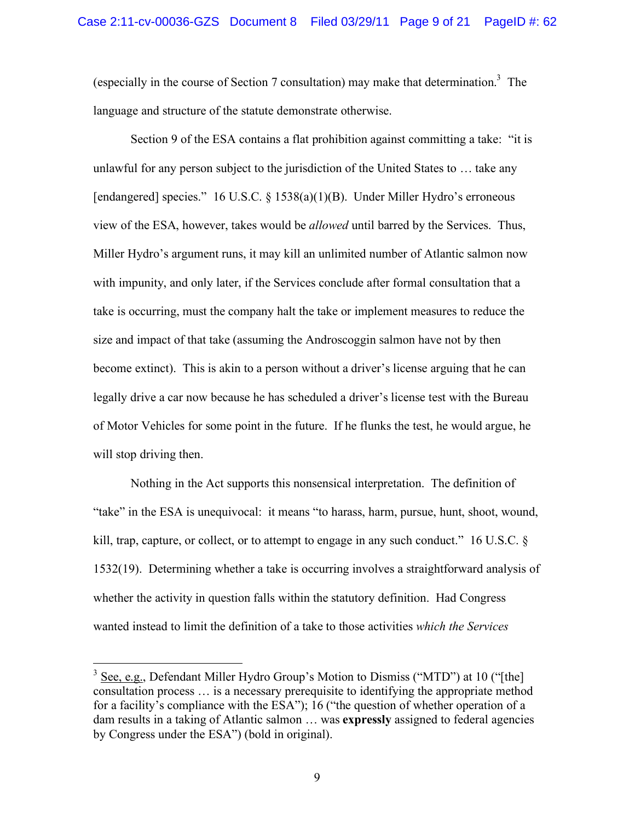(especially in the course of Section 7 consultation) may make that determination.<sup>3</sup> The language and structure of the statute demonstrate otherwise.

Section 9 of the ESA contains a flat prohibition against committing a take: "it is unlawful for any person subject to the jurisdiction of the United States to … take any [endangered] species." 16 U.S.C. § 1538(a)(1)(B). Under Miller Hydro's erroneous view of the ESA, however, takes would be *allowed* until barred by the Services. Thus, Miller Hydro's argument runs, it may kill an unlimited number of Atlantic salmon now with impunity, and only later, if the Services conclude after formal consultation that a take is occurring, must the company halt the take or implement measures to reduce the size and impact of that take (assuming the Androscoggin salmon have not by then become extinct). This is akin to a person without a driver's license arguing that he can legally drive a car now because he has scheduled a driver's license test with the Bureau of Motor Vehicles for some point in the future. If he flunks the test, he would argue, he will stop driving then.

Nothing in the Act supports this nonsensical interpretation. The definition of "take" in the ESA is unequivocal: it means "to harass, harm, pursue, hunt, shoot, wound, kill, trap, capture, or collect, or to attempt to engage in any such conduct." 16 U.S.C. § 1532(19). Determining whether a take is occurring involves a straightforward analysis of whether the activity in question falls within the statutory definition. Had Congress wanted instead to limit the definition of a take to those activities *which the Services* 

 $3$  See, e.g., Defendant Miller Hydro Group's Motion to Dismiss ("MTD") at 10 ("[the] consultation process … is a necessary prerequisite to identifying the appropriate method for a facility's compliance with the ESA"); 16 ("the question of whether operation of a dam results in a taking of Atlantic salmon … was **expressly** assigned to federal agencies by Congress under the ESA") (bold in original).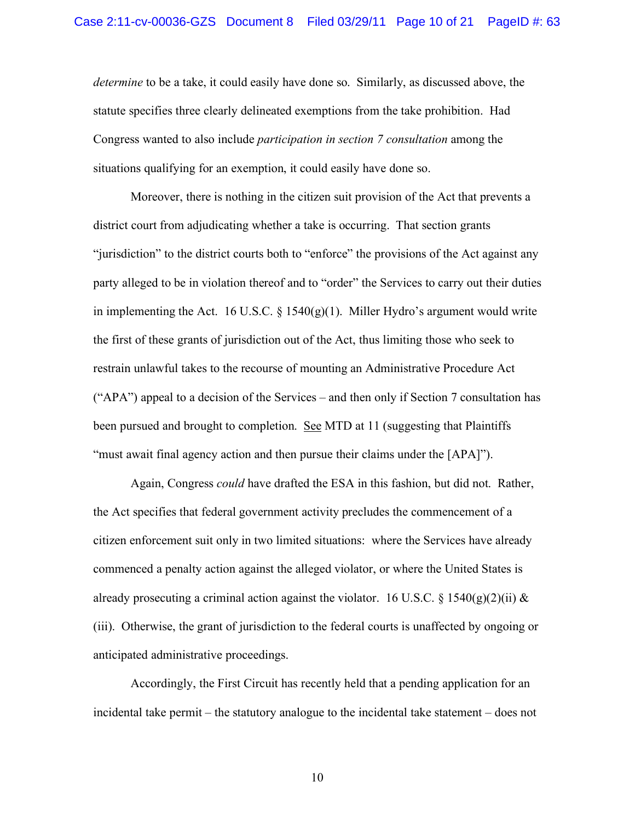*determine* to be a take, it could easily have done so. Similarly, as discussed above, the statute specifies three clearly delineated exemptions from the take prohibition. Had Congress wanted to also include *participation in section 7 consultation* among the situations qualifying for an exemption, it could easily have done so.

Moreover, there is nothing in the citizen suit provision of the Act that prevents a district court from adjudicating whether a take is occurring. That section grants "jurisdiction" to the district courts both to "enforce" the provisions of the Act against any party alleged to be in violation thereof and to "order" the Services to carry out their duties in implementing the Act. 16 U.S.C.  $\S$  1540(g)(1). Miller Hydro's argument would write the first of these grants of jurisdiction out of the Act, thus limiting those who seek to restrain unlawful takes to the recourse of mounting an Administrative Procedure Act ("APA") appeal to a decision of the Services – and then only if Section 7 consultation has been pursued and brought to completion. See MTD at 11 (suggesting that Plaintiffs "must await final agency action and then pursue their claims under the [APA]").

Again, Congress *could* have drafted the ESA in this fashion, but did not. Rather, the Act specifies that federal government activity precludes the commencement of a citizen enforcement suit only in two limited situations: where the Services have already commenced a penalty action against the alleged violator, or where the United States is already prosecuting a criminal action against the violator. 16 U.S.C. § 1540(g)(2)(ii) & (iii). Otherwise, the grant of jurisdiction to the federal courts is unaffected by ongoing or anticipated administrative proceedings.

Accordingly, the First Circuit has recently held that a pending application for an incidental take permit – the statutory analogue to the incidental take statement – does not

10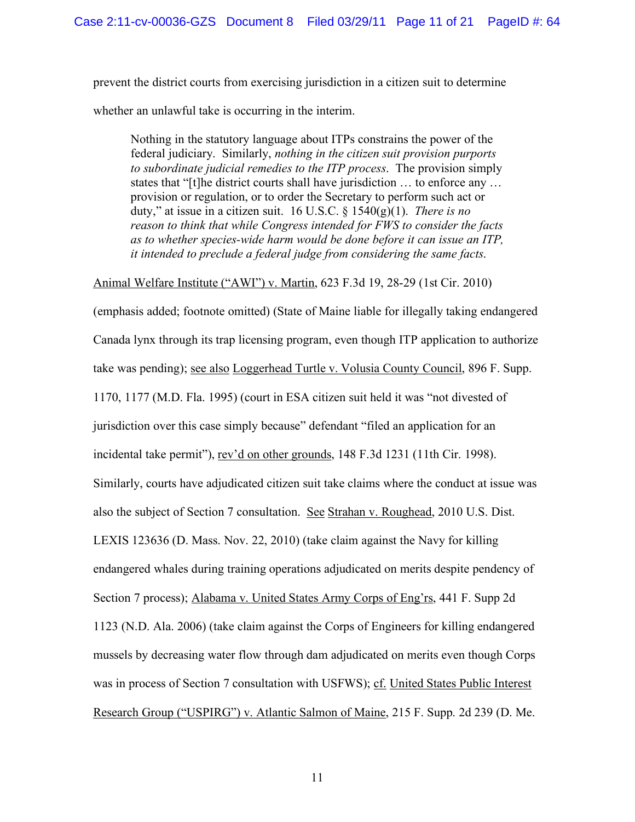prevent the district courts from exercising jurisdiction in a citizen suit to determine whether an unlawful take is occurring in the interim.

Nothing in the statutory language about ITPs constrains the power of the federal judiciary. Similarly, *nothing in the citizen suit provision purports to subordinate judicial remedies to the ITP process*. The provision simply states that "[t]he district courts shall have jurisdiction … to enforce any … provision or regulation, or to order the Secretary to perform such act or duty," at issue in a citizen suit. 16 U.S.C. § 1540(g)(1). *There is no reason to think that while Congress intended for FWS to consider the facts as to whether species-wide harm would be done before it can issue an ITP, it intended to preclude a federal judge from considering the same facts*.

Animal Welfare Institute ("AWI") v. Martin, 623 F.3d 19, 28-29 (1st Cir. 2010)

(emphasis added; footnote omitted) (State of Maine liable for illegally taking endangered Canada lynx through its trap licensing program, even though ITP application to authorize take was pending); see also Loggerhead Turtle v. Volusia County Council, 896 F. Supp. 1170, 1177 (M.D. Fla. 1995) (court in ESA citizen suit held it was "not divested of jurisdiction over this case simply because" defendant "filed an application for an incidental take permit"), rev'd on other grounds, 148 F.3d 1231 (11th Cir. 1998). Similarly, courts have adjudicated citizen suit take claims where the conduct at issue was also the subject of Section 7 consultation. See Strahan v. Roughead, 2010 U.S. Dist. LEXIS 123636 (D. Mass. Nov. 22, 2010) (take claim against the Navy for killing endangered whales during training operations adjudicated on merits despite pendency of Section 7 process); Alabama v. United States Army Corps of Eng'rs, 441 F. Supp 2d 1123 (N.D. Ala. 2006) (take claim against the Corps of Engineers for killing endangered mussels by decreasing water flow through dam adjudicated on merits even though Corps was in process of Section 7 consultation with USFWS); cf. United States Public Interest Research Group ("USPIRG") v. Atlantic Salmon of Maine, 215 F. Supp. 2d 239 (D. Me.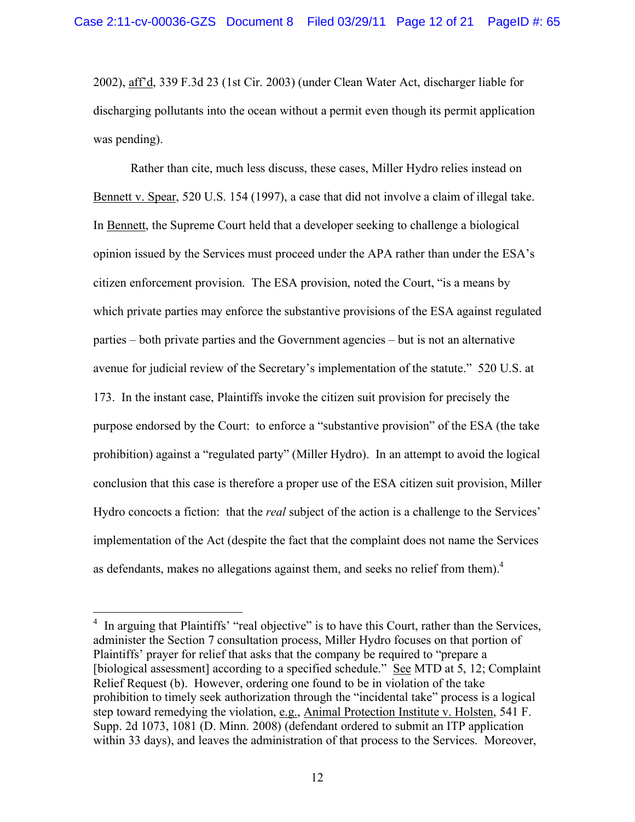2002), aff'd, 339 F.3d 23 (1st Cir. 2003) (under Clean Water Act, discharger liable for discharging pollutants into the ocean without a permit even though its permit application was pending).

Rather than cite, much less discuss, these cases, Miller Hydro relies instead on Bennett v. Spear, 520 U.S. 154 (1997), a case that did not involve a claim of illegal take. In Bennett, the Supreme Court held that a developer seeking to challenge a biological opinion issued by the Services must proceed under the APA rather than under the ESA's citizen enforcement provision. The ESA provision, noted the Court, "is a means by which private parties may enforce the substantive provisions of the ESA against regulated parties – both private parties and the Government agencies – but is not an alternative avenue for judicial review of the Secretary's implementation of the statute." 520 U.S. at 173. In the instant case, Plaintiffs invoke the citizen suit provision for precisely the purpose endorsed by the Court: to enforce a "substantive provision" of the ESA (the take prohibition) against a "regulated party" (Miller Hydro). In an attempt to avoid the logical conclusion that this case is therefore a proper use of the ESA citizen suit provision, Miller Hydro concocts a fiction: that the *real* subject of the action is a challenge to the Services' implementation of the Act (despite the fact that the complaint does not name the Services as defendants, makes no allegations against them, and seeks no relief from them). $4$ 

<sup>&</sup>lt;sup>4</sup> In arguing that Plaintiffs' "real objective" is to have this Court, rather than the Services, administer the Section 7 consultation process, Miller Hydro focuses on that portion of Plaintiffs' prayer for relief that asks that the company be required to "prepare a [biological assessment] according to a specified schedule." See MTD at 5, 12; Complaint Relief Request (b). However, ordering one found to be in violation of the take prohibition to timely seek authorization through the "incidental take" process is a logical step toward remedying the violation, e.g., Animal Protection Institute v. Holsten, 541 F. Supp. 2d 1073, 1081 (D. Minn. 2008) (defendant ordered to submit an ITP application within 33 days), and leaves the administration of that process to the Services. Moreover,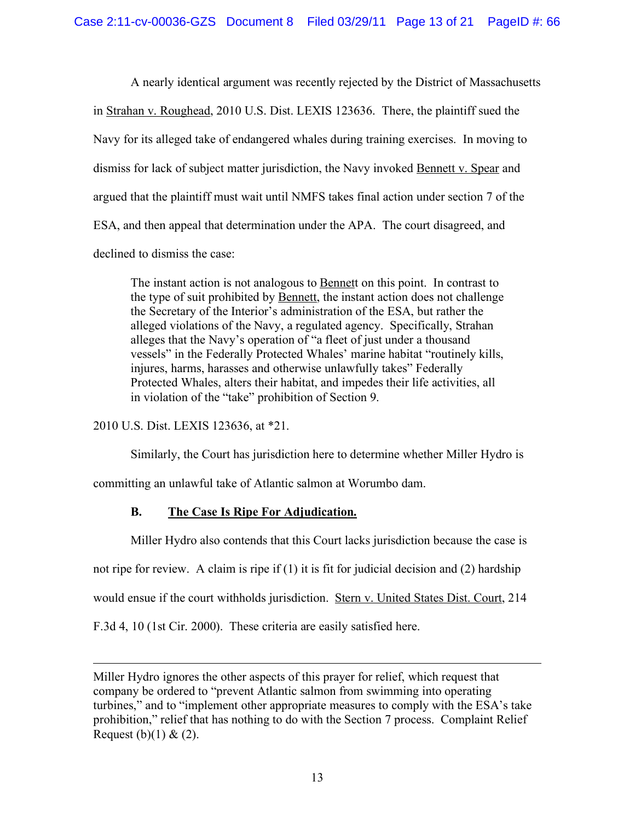A nearly identical argument was recently rejected by the District of Massachusetts in Strahan v. Roughead, 2010 U.S. Dist. LEXIS 123636. There, the plaintiff sued the Navy for its alleged take of endangered whales during training exercises. In moving to dismiss for lack of subject matter jurisdiction, the Navy invoked Bennett v. Spear and argued that the plaintiff must wait until NMFS takes final action under section 7 of the ESA, and then appeal that determination under the APA. The court disagreed, and declined to dismiss the case:

The instant action is not analogous to **Bennett** on this point. In contrast to the type of suit prohibited by Bennett, the instant action does not challenge the Secretary of the Interior's administration of the ESA, but rather the alleged violations of the Navy, a regulated agency. Specifically, Strahan alleges that the Navy's operation of "a fleet of just under a thousand vessels" in the Federally Protected Whales' marine habitat "routinely kills, injures, harms, harasses and otherwise unlawfully takes" Federally Protected Whales, alters their habitat, and impedes their life activities, all in violation of the "take" prohibition of Section 9.

2010 U.S. Dist. LEXIS 123636, at \*21.

 $\overline{a}$ 

Similarly, the Court has jurisdiction here to determine whether Miller Hydro is committing an unlawful take of Atlantic salmon at Worumbo dam.

# **B. The Case Is Ripe For Adjudication.**

Miller Hydro also contends that this Court lacks jurisdiction because the case is

not ripe for review. A claim is ripe if (1) it is fit for judicial decision and (2) hardship

would ensue if the court withholds jurisdiction. Stern v. United States Dist. Court, 214

F.3d 4, 10 (1st Cir. 2000). These criteria are easily satisfied here.

Miller Hydro ignores the other aspects of this prayer for relief, which request that company be ordered to "prevent Atlantic salmon from swimming into operating turbines," and to "implement other appropriate measures to comply with the ESA's take prohibition," relief that has nothing to do with the Section 7 process. Complaint Relief Request  $(b)(1) & (2)$ .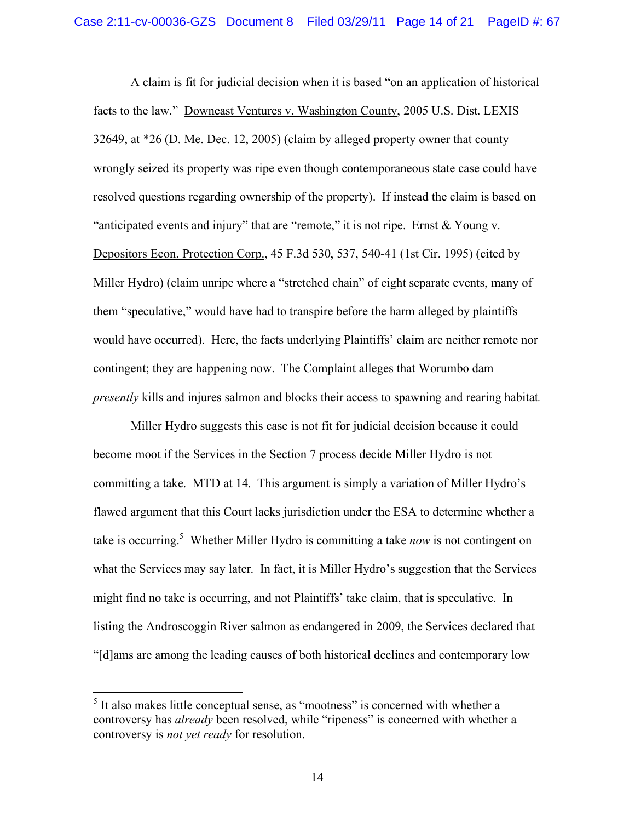A claim is fit for judicial decision when it is based "on an application of historical facts to the law." Downeast Ventures v. Washington County, 2005 U.S. Dist. LEXIS 32649, at \*26 (D. Me. Dec. 12, 2005) (claim by alleged property owner that county wrongly seized its property was ripe even though contemporaneous state case could have resolved questions regarding ownership of the property). If instead the claim is based on "anticipated events and injury" that are "remote," it is not ripe. Ernst  $& Young v.$ Depositors Econ. Protection Corp., 45 F.3d 530, 537, 540-41 (1st Cir. 1995) (cited by Miller Hydro) (claim unripe where a "stretched chain" of eight separate events, many of them "speculative," would have had to transpire before the harm alleged by plaintiffs would have occurred). Here, the facts underlying Plaintiffs' claim are neither remote nor contingent; they are happening now. The Complaint alleges that Worumbo dam *presently* kills and injures salmon and blocks their access to spawning and rearing habitat*.*

Miller Hydro suggests this case is not fit for judicial decision because it could become moot if the Services in the Section 7 process decide Miller Hydro is not committing a take. MTD at 14. This argument is simply a variation of Miller Hydro's flawed argument that this Court lacks jurisdiction under the ESA to determine whether a take is occurring.<sup>5</sup> Whether Miller Hydro is committing a take *now* is not contingent on what the Services may say later. In fact, it is Miller Hydro's suggestion that the Services might find no take is occurring, and not Plaintiffs' take claim, that is speculative. In listing the Androscoggin River salmon as endangered in 2009, the Services declared that "[d]ams are among the leading causes of both historical declines and contemporary low

<sup>&</sup>lt;sup>5</sup> It also makes little conceptual sense, as "mootness" is concerned with whether a controversy has *already* been resolved, while "ripeness" is concerned with whether a controversy is *not yet ready* for resolution.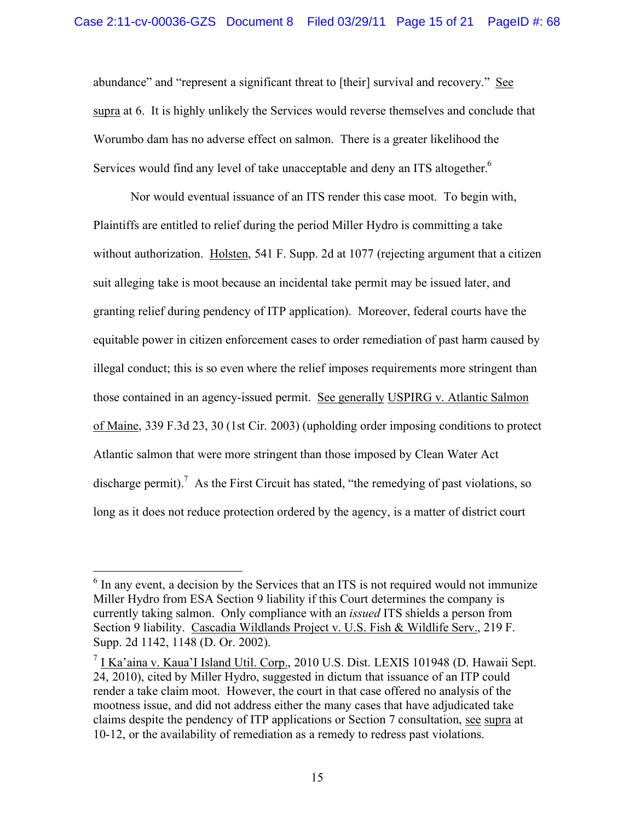abundance" and "represent a significant threat to [their] survival and recovery." See supra at 6. It is highly unlikely the Services would reverse themselves and conclude that Worumbo dam has no adverse effect on salmon. There is a greater likelihood the Services would find any level of take unacceptable and deny an ITS altogether.<sup>6</sup>

Nor would eventual issuance of an ITS render this case moot. To begin with, Plaintiffs are entitled to relief during the period Miller Hydro is committing a take without authorization. Holsten, 541 F. Supp. 2d at 1077 (rejecting argument that a citizen suit alleging take is moot because an incidental take permit may be issued later, and granting relief during pendency of ITP application). Moreover, federal courts have the equitable power in citizen enforcement cases to order remediation of past harm caused by illegal conduct; this is so even where the relief imposes requirements more stringent than those contained in an agency-issued permit. See generally USPIRG v. Atlantic Salmon of Maine, 339 F.3d 23, 30 (1st Cir. 2003) (upholding order imposing conditions to protect Atlantic salmon that were more stringent than those imposed by Clean Water Act discharge permit).<sup>7</sup> As the First Circuit has stated, "the remedying of past violations, so long as it does not reduce protection ordered by the agency, is a matter of district court

<sup>&</sup>lt;sup>6</sup> In any event, a decision by the Services that an ITS is not required would not immunize Miller Hydro from ESA Section 9 liability if this Court determines the company is currently taking salmon. Only compliance with an *issued* ITS shields a person from Section 9 liability. Cascadia Wildlands Project v. U.S. Fish & Wildlife Serv., 219 F. Supp. 2d 1142, 1148 (D. Or. 2002).

 $<sup>7</sup>$  I Ka'aina v. Kaua'I Island Util. Corp., 2010 U.S. Dist. LEXIS 101948 (D. Hawaii Sept.)</sup> 24, 2010), cited by Miller Hydro, suggested in dictum that issuance of an ITP could render a take claim moot. However, the court in that case offered no analysis of the mootness issue, and did not address either the many cases that have adjudicated take claims despite the pendency of ITP applications or Section 7 consultation, see supra at 10-12, or the availability of remediation as a remedy to redress past violations.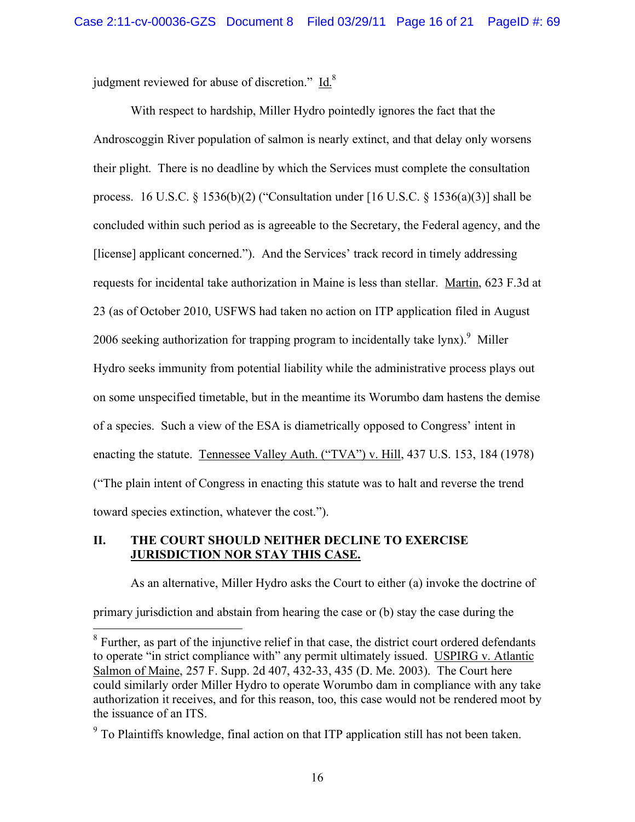judgment reviewed for abuse of discretion." Id.<sup>8</sup>

With respect to hardship, Miller Hydro pointedly ignores the fact that the Androscoggin River population of salmon is nearly extinct, and that delay only worsens their plight. There is no deadline by which the Services must complete the consultation process. 16 U.S.C. § 1536(b)(2) ("Consultation under [16 U.S.C. § 1536(a)(3)] shall be concluded within such period as is agreeable to the Secretary, the Federal agency, and the [license] applicant concerned."). And the Services' track record in timely addressing requests for incidental take authorization in Maine is less than stellar. Martin, 623 F.3d at 23 (as of October 2010, USFWS had taken no action on ITP application filed in August 2006 seeking authorization for trapping program to incidentally take lynx). Miller Hydro seeks immunity from potential liability while the administrative process plays out on some unspecified timetable, but in the meantime its Worumbo dam hastens the demise of a species. Such a view of the ESA is diametrically opposed to Congress' intent in enacting the statute. Tennessee Valley Auth. ("TVA") v. Hill, 437 U.S. 153, 184 (1978) ("The plain intent of Congress in enacting this statute was to halt and reverse the trend toward species extinction, whatever the cost.").

## **II. THE COURT SHOULD NEITHER DECLINE TO EXERCISE JURISDICTION NOR STAY THIS CASE.**

As an alternative, Miller Hydro asks the Court to either (a) invoke the doctrine of primary jurisdiction and abstain from hearing the case or (b) stay the case during the

 $8$  Further, as part of the injunctive relief in that case, the district court ordered defendants to operate "in strict compliance with" any permit ultimately issued. USPIRG v. Atlantic Salmon of Maine, 257 F. Supp. 2d 407, 432-33, 435 (D. Me. 2003). The Court here could similarly order Miller Hydro to operate Worumbo dam in compliance with any take authorization it receives, and for this reason, too, this case would not be rendered moot by the issuance of an ITS.

 $9^9$  To Plaintiffs knowledge, final action on that ITP application still has not been taken.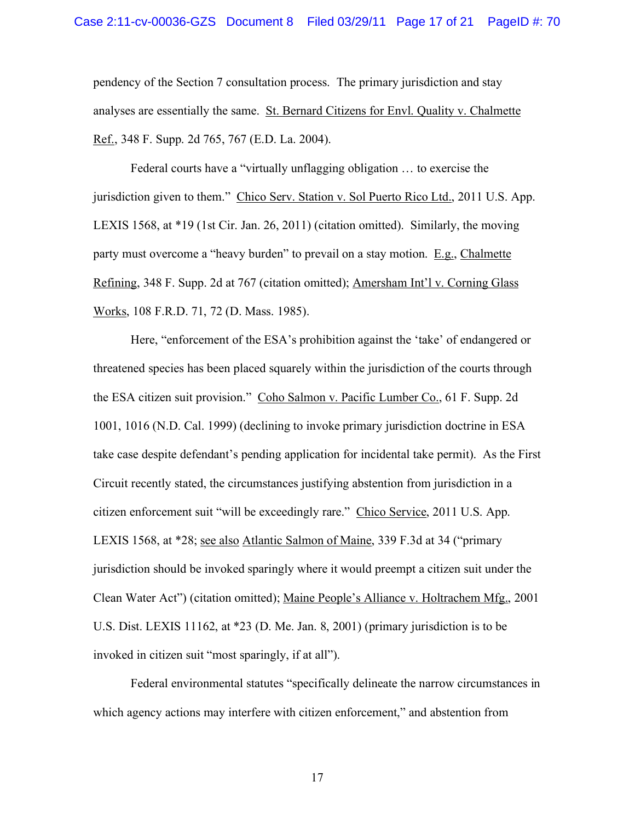pendency of the Section 7 consultation process. The primary jurisdiction and stay analyses are essentially the same. St. Bernard Citizens for Envl. Quality v. Chalmette Ref., 348 F. Supp. 2d 765, 767 (E.D. La. 2004).

Federal courts have a "virtually unflagging obligation … to exercise the jurisdiction given to them." Chico Serv. Station v. Sol Puerto Rico Ltd., 2011 U.S. App. LEXIS 1568, at \*19 (1st Cir. Jan. 26, 2011) (citation omitted). Similarly, the moving party must overcome a "heavy burden" to prevail on a stay motion. E.g., Chalmette Refining, 348 F. Supp. 2d at 767 (citation omitted); Amersham Int'l v. Corning Glass Works, 108 F.R.D. 71, 72 (D. Mass. 1985).

Here, "enforcement of the ESA's prohibition against the 'take' of endangered or threatened species has been placed squarely within the jurisdiction of the courts through the ESA citizen suit provision." Coho Salmon v. Pacific Lumber Co., 61 F. Supp. 2d 1001, 1016 (N.D. Cal. 1999) (declining to invoke primary jurisdiction doctrine in ESA take case despite defendant's pending application for incidental take permit). As the First Circuit recently stated, the circumstances justifying abstention from jurisdiction in a citizen enforcement suit "will be exceedingly rare." Chico Service, 2011 U.S. App. LEXIS 1568, at \*28; see also Atlantic Salmon of Maine, 339 F.3d at 34 ("primary jurisdiction should be invoked sparingly where it would preempt a citizen suit under the Clean Water Act") (citation omitted); Maine People's Alliance v. Holtrachem Mfg., 2001 U.S. Dist. LEXIS 11162, at \*23 (D. Me. Jan. 8, 2001) (primary jurisdiction is to be invoked in citizen suit "most sparingly, if at all").

Federal environmental statutes "specifically delineate the narrow circumstances in which agency actions may interfere with citizen enforcement," and abstention from

17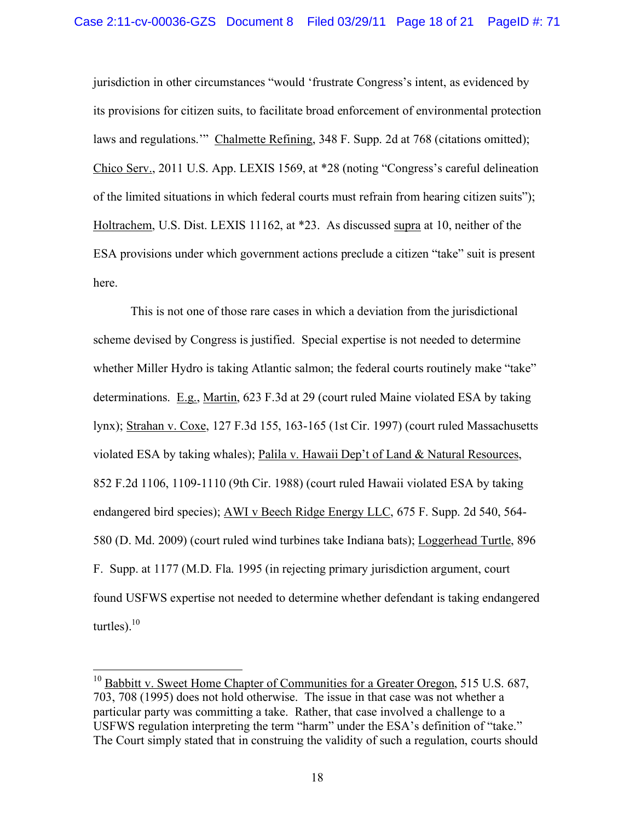jurisdiction in other circumstances "would 'frustrate Congress's intent, as evidenced by its provisions for citizen suits, to facilitate broad enforcement of environmental protection laws and regulations.'" Chalmette Refining, 348 F. Supp. 2d at 768 (citations omitted); Chico Serv., 2011 U.S. App. LEXIS 1569, at \*28 (noting "Congress's careful delineation of the limited situations in which federal courts must refrain from hearing citizen suits"); Holtrachem, U.S. Dist. LEXIS 11162, at \*23. As discussed supra at 10, neither of the ESA provisions under which government actions preclude a citizen "take" suit is present here.

This is not one of those rare cases in which a deviation from the jurisdictional scheme devised by Congress is justified. Special expertise is not needed to determine whether Miller Hydro is taking Atlantic salmon; the federal courts routinely make "take" determinations. E.g., Martin, 623 F.3d at 29 (court ruled Maine violated ESA by taking lynx); Strahan v. Coxe, 127 F.3d 155, 163-165 (1st Cir. 1997) (court ruled Massachusetts violated ESA by taking whales); Palila v. Hawaii Dep't of Land & Natural Resources, 852 F.2d 1106, 1109-1110 (9th Cir. 1988) (court ruled Hawaii violated ESA by taking endangered bird species); AWI v Beech Ridge Energy LLC, 675 F. Supp. 2d 540, 564- 580 (D. Md. 2009) (court ruled wind turbines take Indiana bats); Loggerhead Turtle, 896 F. Supp. at 1177 (M.D. Fla. 1995 (in rejecting primary jurisdiction argument, court found USFWS expertise not needed to determine whether defendant is taking endangered turtles). $10$ 

 $10$  Babbitt v. Sweet Home Chapter of Communities for a Greater Oregon, 515 U.S. 687, 703, 708 (1995) does not hold otherwise. The issue in that case was not whether a particular party was committing a take. Rather, that case involved a challenge to a USFWS regulation interpreting the term "harm" under the ESA's definition of "take." The Court simply stated that in construing the validity of such a regulation, courts should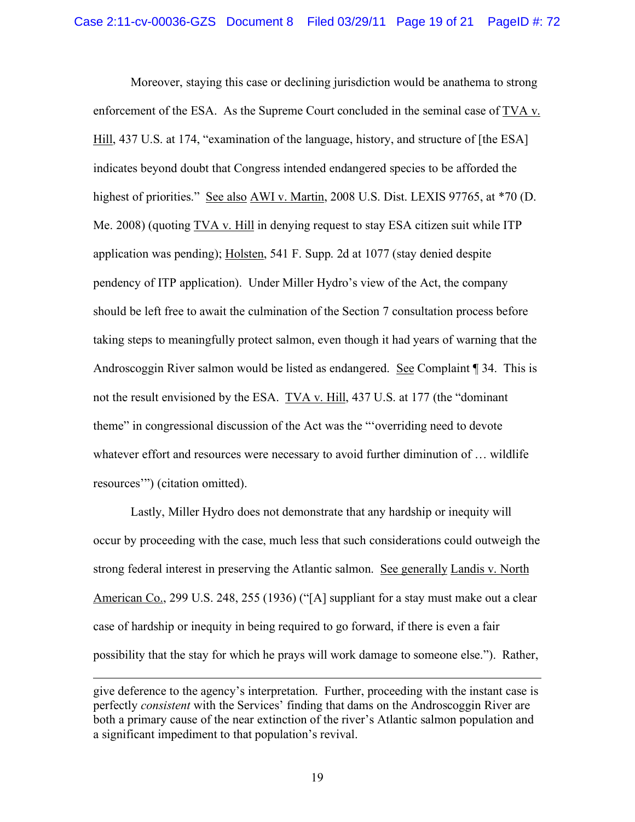Moreover, staying this case or declining jurisdiction would be anathema to strong enforcement of the ESA. As the Supreme Court concluded in the seminal case of TVA v. Hill, 437 U.S. at 174, "examination of the language, history, and structure of [the ESA] indicates beyond doubt that Congress intended endangered species to be afforded the highest of priorities." See also AWI v. Martin, 2008 U.S. Dist. LEXIS 97765, at \*70 (D. Me. 2008) (quoting TVA v. Hill in denying request to stay ESA citizen suit while ITP application was pending); Holsten, 541 F. Supp. 2d at 1077 (stay denied despite pendency of ITP application). Under Miller Hydro's view of the Act, the company should be left free to await the culmination of the Section 7 consultation process before taking steps to meaningfully protect salmon, even though it had years of warning that the Androscoggin River salmon would be listed as endangered. See Complaint ¶ 34. This is not the result envisioned by the ESA. TVA v. Hill, 437 U.S. at 177 (the "dominant theme" in congressional discussion of the Act was the "'overriding need to devote whatever effort and resources were necessary to avoid further diminution of ... wildlife resources'") (citation omitted).

Lastly, Miller Hydro does not demonstrate that any hardship or inequity will occur by proceeding with the case, much less that such considerations could outweigh the strong federal interest in preserving the Atlantic salmon. See generally Landis v. North American Co., 299 U.S. 248, 255 (1936) ("[A] suppliant for a stay must make out a clear case of hardship or inequity in being required to go forward, if there is even a fair possibility that the stay for which he prays will work damage to someone else."). Rather,

 $\overline{a}$ 

give deference to the agency's interpretation. Further, proceeding with the instant case is perfectly *consistent* with the Services' finding that dams on the Androscoggin River are both a primary cause of the near extinction of the river's Atlantic salmon population and a significant impediment to that population's revival.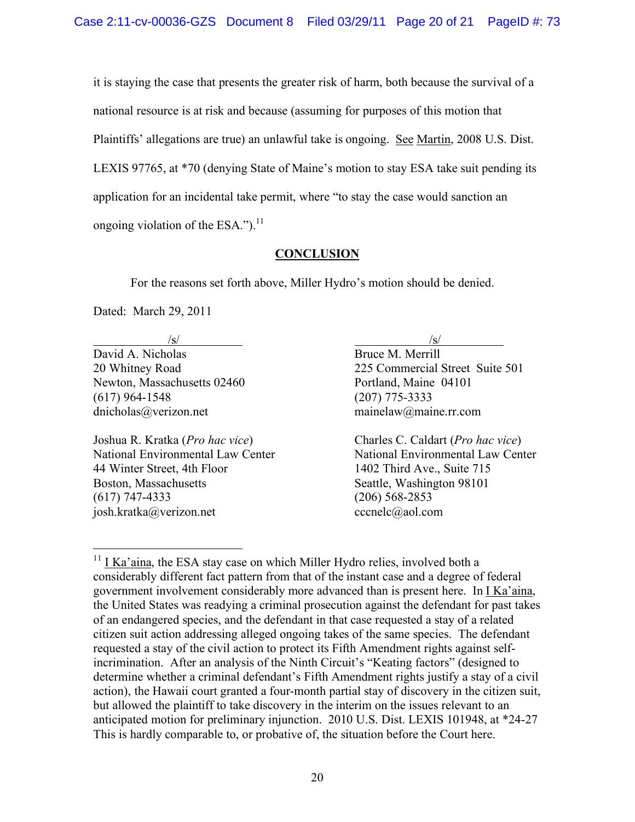it is staying the case that presents the greater risk of harm, both because the survival of a national resource is at risk and because (assuming for purposes of this motion that Plaintiffs' allegations are true) an unlawful take is ongoing. See Martin, 2008 U.S. Dist. LEXIS 97765, at \*70 (denying State of Maine's motion to stay ESA take suit pending its application for an incidental take permit, where "to stay the case would sanction an ongoing violation of the ESA."). $^{11}$ 

## **CONCLUSION**

For the reasons set forth above, Miller Hydro's motion should be denied.

Dated: March 29, 2011

David A. Nicholas Bruce M. Merrill Newton, Massachusetts 02460 Portland, Maine 04101 (617) 964-1548 (207) 775-3333 dnicholas@verizon.net mainelaw@maine.rr.com

44 Winter Street, 4th Floor 1402 Third Ave., Suite 715 Boston, Massachusetts Seattle, Washington 98101 (617) 747-4333 (206) 568-2853 josh.kratka@verizon.net cccnelc@aol.com

 $\sqrt{s}$ / $\sqrt{s}$ / $\sqrt{s}$ / $\sqrt{s}$ / $\sqrt{s}$ / $\sqrt{s}$ / $\sqrt{s}$ / $\sqrt{s}$ / $\sqrt{s}$ / $\sqrt{s}$ / $\sqrt{s}$ / $\sqrt{s}$ / $\sqrt{s}$ / $\sqrt{s}$ / $\sqrt{s}$ / $\sqrt{s}$ / $\sqrt{s}$ / $\sqrt{s}$ / $\sqrt{s}$ / $\sqrt{s}$ / $\sqrt{s}$ / $\sqrt{s}$ / $\sqrt{s}$ / $\sqrt{s}$ / $\sqrt{s}$ / $\sqrt{s}$ / $\sqrt{s}$ / $\sqrt{s}$ / $\sqrt{s}$ / $\sqrt{s}$ / $\sqrt{s}$ / $\sqrt{s$ 20 Whitney Road 225 Commercial Street Suite 501

Joshua R. Kratka (*Pro hac vice*) Charles C. Caldart (*Pro hac vice*) National Environmental Law Center National Environmental Law Center

 $11$  I Ka'aina, the ESA stay case on which Miller Hydro relies, involved both a considerably different fact pattern from that of the instant case and a degree of federal government involvement considerably more advanced than is present here. In I Ka'aina, the United States was readying a criminal prosecution against the defendant for past takes of an endangered species, and the defendant in that case requested a stay of a related citizen suit action addressing alleged ongoing takes of the same species. The defendant requested a stay of the civil action to protect its Fifth Amendment rights against selfincrimination. After an analysis of the Ninth Circuit's "Keating factors" (designed to determine whether a criminal defendant's Fifth Amendment rights justify a stay of a civil action), the Hawaii court granted a four-month partial stay of discovery in the citizen suit, but allowed the plaintiff to take discovery in the interim on the issues relevant to an anticipated motion for preliminary injunction. 2010 U.S. Dist. LEXIS 101948, at \*24-27 This is hardly comparable to, or probative of, the situation before the Court here.